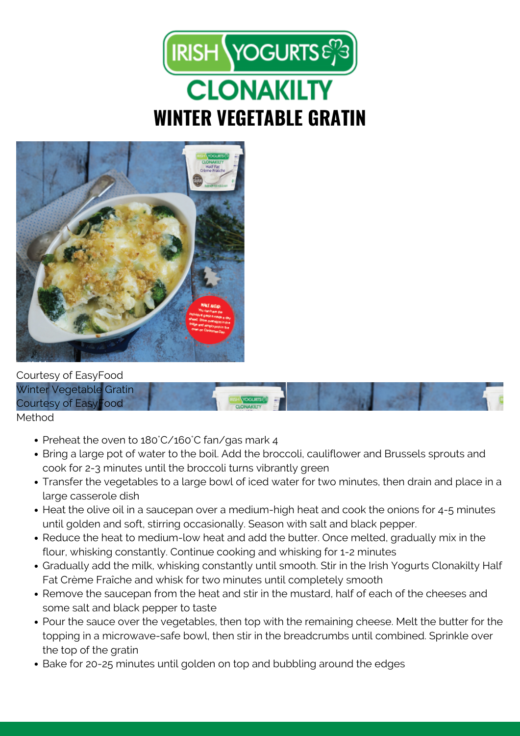



Courtesy of EasyFood Winter Vegetable Gratin Courtesy of EasyFood Method

- Preheat the oven to 180°C/160°C fan/gas mark 4
- Bring a large pot of water to the boil. Add the broccoli, cauliflower and Brussels sprouts and cook for 2-3 minutes until the broccoli turns vibrantly green
- Transfer the vegetables to a large bowl of iced water for two minutes, then drain and place in a large casserole dish
- Heat the olive oil in a saucepan over a medium-high heat and cook the onions for 4-5 minutes until golden and soft, stirring occasionally. Season with salt and black pepper.
- Reduce the heat to medium-low heat and add the butter. Once melted, gradually mix in the flour, whisking constantly. Continue cooking and whisking for 1-2 minutes
- Gradually add the milk, whisking constantly until smooth. Stir in the Irish Yogurts Clonakilty Half Fat Crème Fraîche and whisk for two minutes until completely smooth
- Remove the saucepan from the heat and stir in the mustard, half of each of the cheeses and some salt and black pepper to taste
- Pour the sauce over the vegetables, then top with the remaining cheese. Melt the butter for the topping in a microwave-safe bowl, then stir in the breadcrumbs until combined. Sprinkle over the top of the gratin
- Bake for 20-25 minutes until golden on top and bubbling around the edges